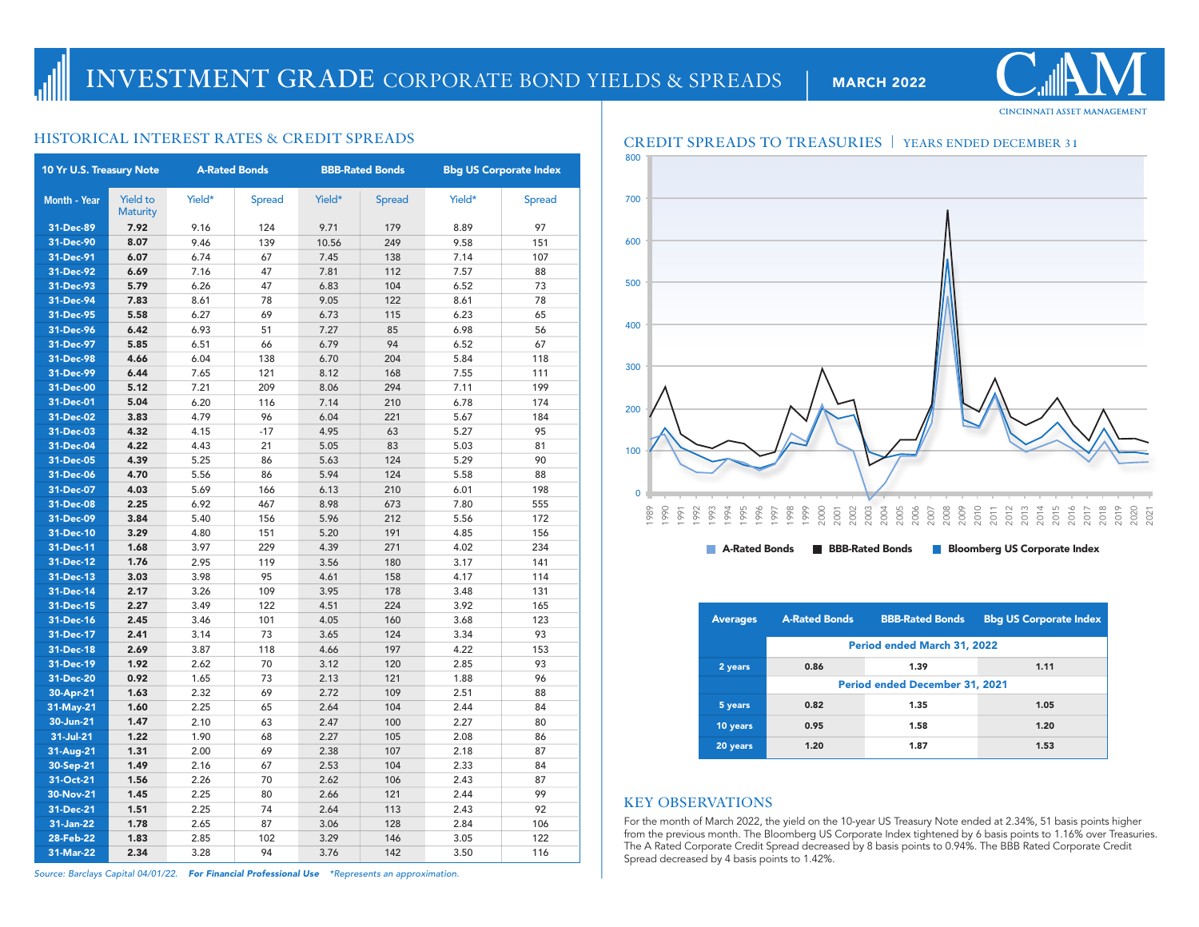# **CINCINNATI ASSET MANAGEMENT**

| 10 Yr U.S. Treasury Note |                                    | <b>A-Rated Bonds</b> |               | <b>BBB-Rated Bonds</b> |               | <b>Bbg US Corporate Index</b> |               |
|--------------------------|------------------------------------|----------------------|---------------|------------------------|---------------|-------------------------------|---------------|
| Month - Year             | <b>Yield to</b><br><b>Maturity</b> | Yield*               | <b>Spread</b> | Yield*                 | <b>Spread</b> | Yield*                        | <b>Spread</b> |
| 31-Dec-89                | 7.92                               | 9.16                 | 124           | 9.71                   | 179           | 8.89                          | 97            |
| 31-Dec-90                | 8.07                               | 9.46                 | 139           | 10.56                  | 249           | 9.58                          | 151           |
| 31-Dec-91                | 6.07                               | 6.74                 | 67            | 7.45                   | 138           | 7.14                          | 107           |
| 31-Dec-92                | 6.69                               | 7.16                 | 47            | 7.81                   | 112           | 7.57                          | 88            |
| 31-Dec-93                | 5.79                               | 6.26                 | 47            | 6.83                   | 104           | 6.52                          | 73            |
| 31-Dec-94                | 7.83                               | 8.61                 | 78            | 9.05                   | 122           | 8.61                          | 78            |
| 31-Dec-95                | 5.58                               | 6.27                 | 69            | 6.73                   | 115           | 6.23                          | 65            |
| 31-Dec-96                | 6.42                               | 6.93                 | 51            | 7.27                   | 85            | 6.98                          | 56            |
| 31-Dec-97                | 5.85                               | 6.51                 | 66            | 6.79                   | 94            | 6.52                          | 67            |
| 31-Dec-98                | 4.66                               | 6.04                 | 138           | 6.70                   | 204           | 5.84                          | 118           |
| 31-Dec-99                | 6.44                               | 7.65                 | 121           | 8.12                   | 168           | 7.55                          | 111           |
| 31-Dec-00                | 5.12                               | 7.21                 | 209           | 8.06                   | 294           | 7.11                          | 199           |
| 31-Dec-01                | 5.04                               | 6.20                 | 116           | 7.14                   | 210           | 6.78                          | 174           |
| 31-Dec-02                | 3.83                               | 4.79                 | 96            | 6.04                   | 221           | 5.67                          | 184           |
| 31-Dec-03                | 4.32                               | 4.15                 | $-17$         | 4.95                   | 63            | 5.27                          | 95            |
| 31-Dec-04                | 4.22                               | 4.43                 | 21            | 5.05                   | 83            | 5.03                          | 81            |
| 31-Dec-05                | 4.39                               | 5.25                 | 86            | 5.63                   | 124           | 5.29                          | 90            |
| 31-Dec-06                | 4.70                               | 5.56                 | 86            | 5.94                   | 124           | 5.58                          | 88            |
| 31-Dec-07                | 4.03                               | 5.69                 | 166           | 6.13                   | 210           | 6.01                          | 198           |
| 31-Dec-08                | 2.25                               | 6.92                 | 467           | 8.98                   | 673           | 7.80                          | 555           |
| 31-Dec-09                | 3.84                               | 5.40                 | 156           | 5.96                   | 212           | 5.56                          | 172           |
| 31-Dec-10                | 3.29                               | 4.80                 | 151           | 5.20                   | 191           | 4.85                          | 156           |
| 31-Dec-11                | 1.68                               | 3.97                 | 229           | 4.39                   | 271           | 4.02                          | 234           |
| 31-Dec-12                | 1.76                               | 2.95                 | 119           | 3.56                   | 180           | 3.17                          | 141           |
| 31-Dec-13                | 3.03                               | 3.98                 | 95            | 4.61                   | 158           | 4.17                          | 114           |
| 31-Dec-14                | 2.17                               | 3.26                 | 109           | 3.95                   | 178           | 3.48                          | 131           |
| 31-Dec-15                | 2.27                               | 3.49                 | 122           | 4.51                   | 224           | 3.92                          | 165           |
| 31-Dec-16                | 2.45                               | 3.46                 | 101           | 4.05                   | 160           | 3.68                          | 123           |
| 31-Dec-17                | 2.41                               | 3.14                 | 73            | 3.65                   | 124           | 3.34                          | 93            |
| 31-Dec-18                | 2.69                               | 3.87                 | 118           | 4.66                   | 197           | 4.22                          | 153           |
| 31-Dec-19                | 1.92                               | 2.62                 | 70            | 3.12                   | 120           | 2.85                          | 93            |
| 31-Dec-20                | 0.92                               | 1.65                 | 73            | 2.13                   | 121           | 1.88                          | 96            |
| 30-Apr-21                | 1.63                               | 2.32                 | 69            | 2.72                   | 109           | 2.51                          | 88            |
| 31-May-21                | 1.60                               | 2.25                 | 65            | 2.64                   | 104           | 2.44                          | 84            |
| 30-Jun-21                | 1.47                               | 2.10                 | 63            | 2.47                   | 100           | 2.27                          | 80            |
| 31-Jul-21                | 1.22                               | 1.90                 | 68            | 2.27                   | 105           | 2.08                          | 86            |
| 31-Aug-21                | 1.31                               | 2.00                 | 69            | 2.38                   | 107           | 2.18                          | 87            |
| 30-Sep-21                | 1.49                               | 2.16                 | 67            | 2.53                   | 104           | 2.33                          | 84            |
| 31-Oct-21                | 1.56                               | 2.26                 | 70            | 2.62                   | 106           | 2.43                          | 87            |
| 30-Nov-21                | 1.45                               | 2.25                 | 80            | 2.66                   | 121           | 2.44                          | 99            |
| 31-Dec-21                | 1.51                               | 2.25                 | 74            | 2.64                   | 113           | 2.43                          | 92            |
| 31-Jan-22                | 1.78                               | 2.65                 | 87            | 3.06                   | 128           | 2.84                          | 106           |
| 28-Feb-22                | 1.83                               | 2.85                 | 102           | 3.29                   | 146           | 3.05                          | 122           |
| 31-Mar-22                | 2.34                               | 3.28                 | 94            | 3.76                   | 142           | 3.50                          | 116           |



| <b>Averages</b> | <b>A-Rated Bonds</b>                  | <b>BBB-Rated Bonds</b> | <b>Bbg US Corporate Index</b> |  |  |  |  |  |  |
|-----------------|---------------------------------------|------------------------|-------------------------------|--|--|--|--|--|--|
|                 | Period ended March 31, 2022           |                        |                               |  |  |  |  |  |  |
| 2 years         | 0.86                                  | 1.39                   | 1.11                          |  |  |  |  |  |  |
|                 | <b>Period ended December 31, 2021</b> |                        |                               |  |  |  |  |  |  |
| 5 years         | 0.82                                  | 1.35                   | 1.05                          |  |  |  |  |  |  |
| 10 years        | 0.95                                  | 1.58                   | 1.20                          |  |  |  |  |  |  |
| 20 years        | 1.20                                  | 1.87                   | 1.53                          |  |  |  |  |  |  |

### **KEY OBSERVATIONS**

For the month of March 2022, the yield on the 10-year US Treasury Note ended at 2.34%, 51 basis points higher from the previous month. The Bloomberg US Corporate Index tightened by 6 basis points to 1.16% over Treasuries. The A Rated Corporate Credit Spread decreased by 8 basis points to 0.94%. The BBB Rated Corporate Credit Spread decreased by 4 basis points to 1.42%.